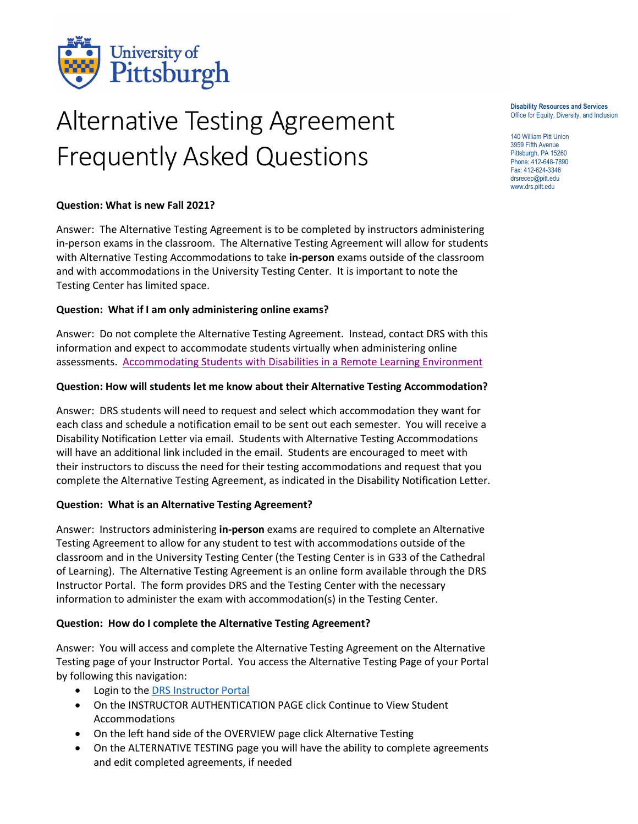

# Alternative Testing Agreement Frequently Asked Questions

#### **Disability Resources and Services** Office for Equity, Diversity, and Inclusion

140 William Pitt Union 3959 Fifth Avenue Pittsburgh, PA 15260 Phone: 412-648-7890 Fax: 412-624-3346 drsrecep@pitt.edu www.drs.pitt.edu

#### **Question: What is new Fall 2021?**

Answer: The Alternative Testing Agreement is to be completed by instructors administering in-person exams in the classroom. The Alternative Testing Agreement will allow for students with Alternative Testing Accommodations to take **in-person** exams outside of the classroom and with accommodations in the University Testing Center. It is important to note the Testing Center has limited space.

#### **Question: What if I am only administering online exams?**

Answer: Do not complete the Alternative Testing Agreement. Instead, contact DRS with this information and expect to accommodate students virtually when administering online assessments. [Accommodating Students with Disabilities in a Remote Learning Environment](https://www.diversity.pitt.edu/disability-access/disability-resources-and-services/resources/faculty-resources-remote-learning)

#### **Question: How will students let me know about their Alternative Testing Accommodation?**

Answer: DRS students will need to request and select which accommodation they want for each class and schedule a notification email to be sent out each semester. You will receive a Disability Notification Letter via email. Students with Alternative Testing Accommodations will have an additional link included in the email. Students are encouraged to meet with their instructors to discuss the need for their testing accommodations and request that you complete the Alternative Testing Agreement, as indicated in the Disability Notification Letter.

#### **Question: What is an Alternative Testing Agreement?**

Answer: Instructors administering **in-person** exams are required to complete an Alternative Testing Agreement to allow for any student to test with accommodations outside of the classroom and in the University Testing Center (the Testing Center is in G33 of the Cathedral of Learning). The Alternative Testing Agreement is an online form available through the DRS Instructor Portal. The form provides DRS and the Testing Center with the necessary information to administer the exam with accommodation(s) in the Testing Center.

#### **Question: How do I complete the Alternative Testing Agreement?**

Answer: You will access and complete the Alternative Testing Agreement on the Alternative Testing page of your Instructor Portal. You access the Alternative Testing Page of your Portal by following this navigation:

- Login to the [DRS Instructor Portal](https://sierra.accessiblelearning.com/pitt/instructor)
- On the INSTRUCTOR AUTHENTICATION PAGE click Continue to View Student Accommodations
- On the left hand side of the OVERVIEW page click Alternative Testing
- On the ALTERNATIVE TESTING page you will have the ability to complete agreements and edit completed agreements, if needed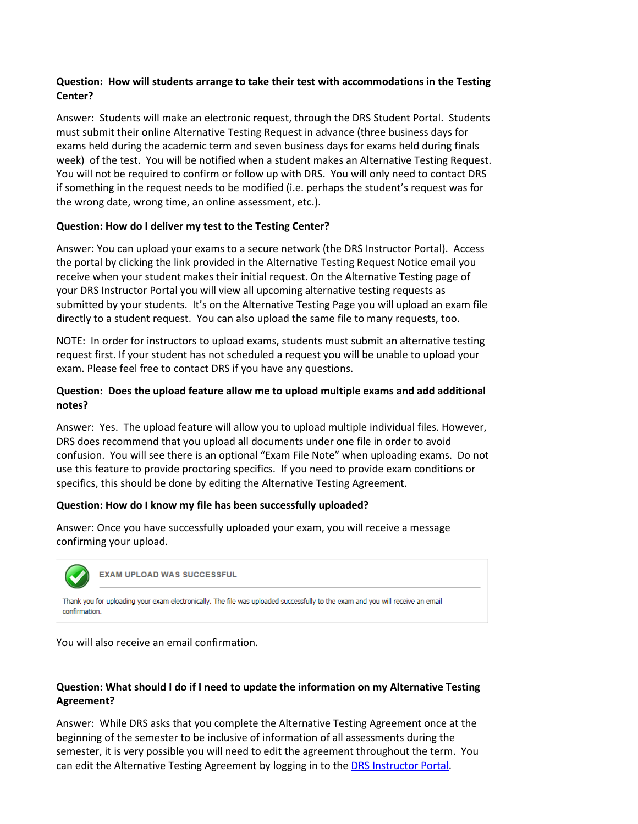## **Question: How will students arrange to take their test with accommodations in the Testing Center?**

Answer: Students will make an electronic request, through the DRS Student Portal. Students must submit their online Alternative Testing Request in advance (three business days for exams held during the academic term and seven business days for exams held during finals week) of the test. You will be notified when a student makes an Alternative Testing Request. You will not be required to confirm or follow up with DRS. You will only need to contact DRS if something in the request needs to be modified (i.e. perhaps the student's request was for the wrong date, wrong time, an online assessment, etc.).

#### **Question: How do I deliver my test to the Testing Center?**

Answer: You can upload your exams to a secure network (the DRS Instructor Portal). Access the portal by clicking the link provided in the Alternative Testing Request Notice email you receive when your student makes their initial request. On the Alternative Testing page of your DRS Instructor Portal you will view all upcoming alternative testing requests as submitted by your students. It's on the Alternative Testing Page you will upload an exam file directly to a student request. You can also upload the same file to many requests, too.

NOTE: In order for instructors to upload exams, students must submit an alternative testing request first. If your student has not scheduled a request you will be unable to upload your exam. Please feel free to contact DRS if you have any questions.

#### **Question: Does the upload feature allow me to upload multiple exams and add additional notes?**

Answer: Yes. The upload feature will allow you to upload multiple individual files. However, DRS does recommend that you upload all documents under one file in order to avoid confusion. You will see there is an optional "Exam File Note" when uploading exams. Do not use this feature to provide proctoring specifics. If you need to provide exam conditions or specifics, this should be done by editing the Alternative Testing Agreement.

#### **Question: How do I know my file has been successfully uploaded?**

Answer: Once you have successfully uploaded your exam, you will receive a message confirming your upload.



You will also receive an email confirmation.

## **Question: What should I do if I need to update the information on my Alternative Testing Agreement?**

Answer: While DRS asks that you complete the Alternative Testing Agreement once at the beginning of the semester to be inclusive of information of all assessments during the semester, it is very possible you will need to edit the agreement throughout the term. You can edit the Alternative Testing Agreement by logging in to the **DRS Instructor Portal**.